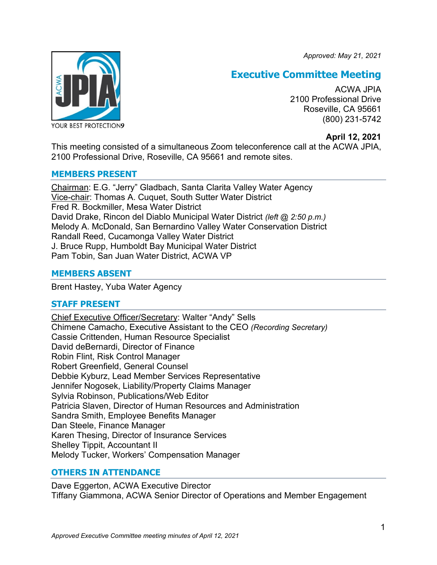*Approved: May 21, 2021*



# **Executive Committee Meeting**

ACWA JPIA 2100 Professional Drive Roseville, CA 95661 (800) 231-5742

# **April 12, 2021**

This meeting consisted of a simultaneous Zoom teleconference call at the ACWA JPIA, 2100 Professional Drive, Roseville, CA 95661 and remote sites.

## **MEMBERS PRESENT**

Chairman: E.G. "Jerry" Gladbach, Santa Clarita Valley Water Agency Vice-chair: Thomas A. Cuquet, South Sutter Water District Fred R. Bockmiller, Mesa Water District David Drake, Rincon del Diablo Municipal Water District *(left @ 2:50 p.m.)* Melody A. McDonald, San Bernardino Valley Water Conservation District Randall Reed, Cucamonga Valley Water District J. Bruce Rupp, Humboldt Bay Municipal Water District Pam Tobin, San Juan Water District, ACWA VP

# **MEMBERS ABSENT**

Brent Hastey, Yuba Water Agency

# **STAFF PRESENT**

Chief Executive Officer/Secretary: Walter "Andy" Sells Chimene Camacho, Executive Assistant to the CEO *(Recording Secretary)* Cassie Crittenden, Human Resource Specialist David deBernardi, Director of Finance Robin Flint, Risk Control Manager Robert Greenfield, General Counsel Debbie Kyburz, Lead Member Services Representative Jennifer Nogosek, Liability/Property Claims Manager Sylvia Robinson, Publications/Web Editor Patricia Slaven, Director of Human Resources and Administration Sandra Smith, Employee Benefits Manager Dan Steele, Finance Manager Karen Thesing, Director of Insurance Services Shelley Tippit, Accountant II Melody Tucker, Workers' Compensation Manager

# **OTHERS IN ATTENDANCE**

Dave Eggerton, ACWA Executive Director Tiffany Giammona, ACWA Senior Director of Operations and Member Engagement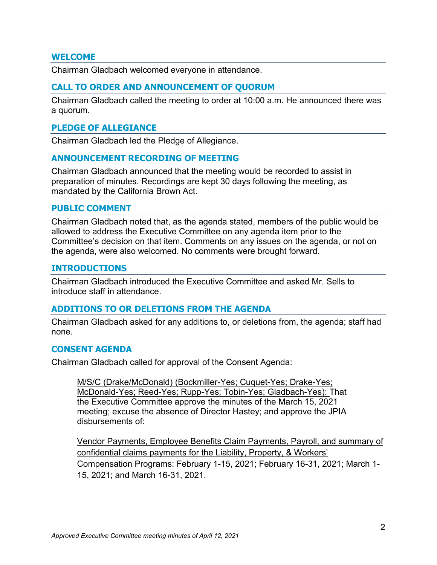### **WELCOME**

Chairman Gladbach welcomed everyone in attendance.

### **CALL TO ORDER AND ANNOUNCEMENT OF QUORUM**

Chairman Gladbach called the meeting to order at 10:00 a.m. He announced there was a quorum.

### **PLEDGE OF ALLEGIANCE**

Chairman Gladbach led the Pledge of Allegiance.

### **ANNOUNCEMENT RECORDING OF MEETING**

Chairman Gladbach announced that the meeting would be recorded to assist in preparation of minutes. Recordings are kept 30 days following the meeting, as mandated by the California Brown Act.

### **PUBLIC COMMENT**

Chairman Gladbach noted that, as the agenda stated, members of the public would be allowed to address the Executive Committee on any agenda item prior to the Committee's decision on that item. Comments on any issues on the agenda, or not on the agenda, were also welcomed. No comments were brought forward.

#### **INTRODUCTIONS**

Chairman Gladbach introduced the Executive Committee and asked Mr. Sells to introduce staff in attendance.

### **ADDITIONS TO OR DELETIONS FROM THE AGENDA**

Chairman Gladbach asked for any additions to, or deletions from, the agenda; staff had none.

### **CONSENT AGENDA**

Chairman Gladbach called for approval of the Consent Agenda:

M/S/C (Drake/McDonald) (Bockmiller-Yes; Cuquet-Yes; Drake-Yes; McDonald-Yes; Reed-Yes; Rupp-Yes; Tobin-Yes; Gladbach-Yes): That the Executive Committee approve the minutes of the March 15, 2021 meeting; excuse the absence of Director Hastey; and approve the JPIA disbursements of:

Vendor Payments, Employee Benefits Claim Payments, Payroll, and summary of confidential claims payments for the Liability, Property, & Workers' Compensation Programs: February 1-15, 2021; February 16-31, 2021; March 1- 15, 2021; and March 16-31, 2021.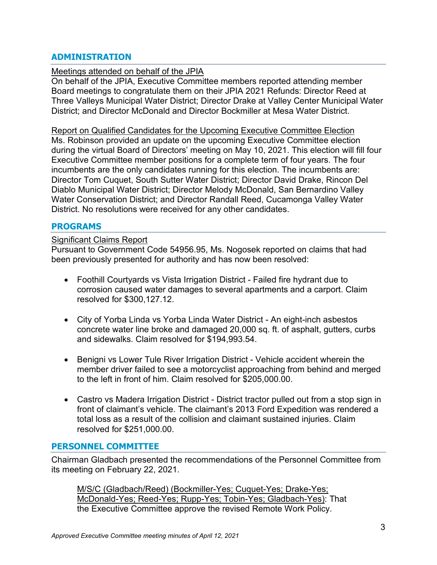# **ADMINISTRATION**

### Meetings attended on behalf of the JPIA

On behalf of the JPIA, Executive Committee members reported attending member Board meetings to congratulate them on their JPIA 2021 Refunds: Director Reed at Three Valleys Municipal Water District; Director Drake at Valley Center Municipal Water District; and Director McDonald and Director Bockmiller at Mesa Water District.

Report on Qualified Candidates for the Upcoming Executive Committee Election Ms. Robinson provided an update on the upcoming Executive Committee election during the virtual Board of Directors' meeting on May 10, 2021. This election will fill four Executive Committee member positions for a complete term of four years. The four incumbents are the only candidates running for this election. The incumbents are: Director Tom Cuquet, South Sutter Water District; Director David Drake, Rincon Del Diablo Municipal Water District; Director Melody McDonald, San Bernardino Valley Water Conservation District; and Director Randall Reed, Cucamonga Valley Water District. No resolutions were received for any other candidates.

## **PROGRAMS**

### Significant Claims Report

Pursuant to Government Code 54956.95, Ms. Nogosek reported on claims that had been previously presented for authority and has now been resolved:

- Foothill Courtyards vs Vista Irrigation District Failed fire hydrant due to corrosion caused water damages to several apartments and a carport. Claim resolved for \$300,127.12.
- City of Yorba Linda vs Yorba Linda Water District An eight-inch asbestos concrete water line broke and damaged 20,000 sq. ft. of asphalt, gutters, curbs and sidewalks. Claim resolved for \$194,993.54.
- Benigni vs Lower Tule River Irrigation District Vehicle accident wherein the member driver failed to see a motorcyclist approaching from behind and merged to the left in front of him. Claim resolved for \$205,000.00.
- Castro vs Madera Irrigation District District tractor pulled out from a stop sign in front of claimant's vehicle. The claimant's 2013 Ford Expedition was rendered a total loss as a result of the collision and claimant sustained injuries. Claim resolved for \$251,000.00.

### **PERSONNEL COMMITTEE**

Chairman Gladbach presented the recommendations of the Personnel Committee from its meeting on February 22, 2021.

M/S/C (Gladbach/Reed) (Bockmiller-Yes; Cuquet-Yes; Drake-Yes; McDonald-Yes; Reed-Yes; Rupp-Yes; Tobin-Yes; Gladbach-Yes): That the Executive Committee approve the revised Remote Work Policy.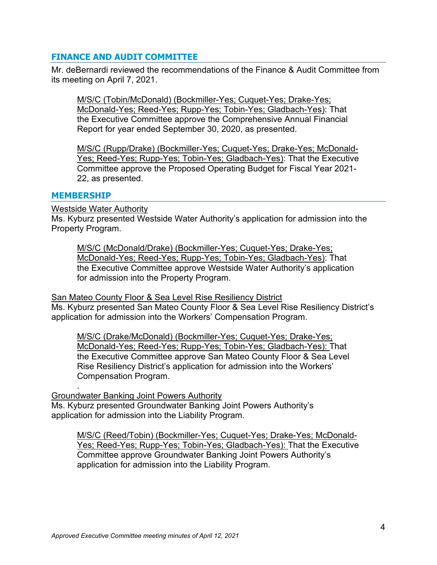# **FINANCE AND AUDIT COMMITTEE**

Mr. deBernardi reviewed the recommendations of the Finance & Audit Committee from its meeting on April 7, 2021.

M/S/C (Tobin/McDonald) (Bockmiller-Yes; Cuquet-Yes; Drake-Yes; McDonald-Yes; Reed-Yes; Rupp-Yes; Tobin-Yes; Gladbach-Yes): That the Executive Committee approve the Comprehensive Annual Financial Report for year ended September 30, 2020, as presented.

M/S/C (Rupp/Drake) (Bockmiller-Yes; Cuquet-Yes; Drake-Yes; McDonald-Yes; Reed-Yes; Rupp-Yes; Tobin-Yes; Gladbach-Yes): That the Executive Committee approve the Proposed Operating Budget for Fiscal Year 2021- 22, as presented.

### **MEMBERSHIP**

.

Westside Water Authority

Ms. Kyburz presented Westside Water Authority's application for admission into the Property Program.

M/S/C (McDonald/Drake) (Bockmiller-Yes; Cuquet-Yes; Drake-Yes; McDonald-Yes; Reed-Yes; Rupp-Yes; Tobin-Yes; Gladbach-Yes): That the Executive Committee approve Westside Water Authority's application for admission into the Property Program.

**San Mateo County Floor & Sea Level Rise Resiliency District** 

Ms. Kyburz presented San Mateo County Floor & Sea Level Rise Resiliency District's application for admission into the Workers' Compensation Program.

M/S/C (Drake/McDonald) (Bockmiller-Yes; Cuquet-Yes; Drake-Yes; McDonald-Yes; Reed-Yes; Rupp-Yes; Tobin-Yes; Gladbach-Yes): That the Executive Committee approve San Mateo County Floor & Sea Level Rise Resiliency District's application for admission into the Workers' Compensation Program.

Groundwater Banking Joint Powers Authority Ms. Kyburz presented Groundwater Banking Joint Powers Authority's application for admission into the Liability Program.

M/S/C (Reed/Tobin) (Bockmiller-Yes; Cuquet-Yes; Drake-Yes; McDonald-Yes; Reed-Yes; Rupp-Yes; Tobin-Yes; Gladbach-Yes): That the Executive Committee approve Groundwater Banking Joint Powers Authority's application for admission into the Liability Program.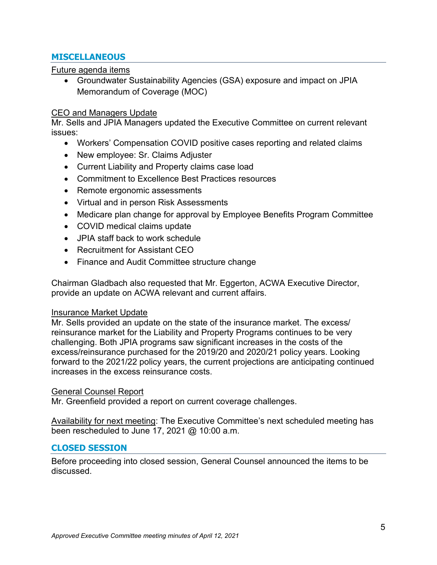# **MISCELLANEOUS**

## Future agenda items

• Groundwater Sustainability Agencies (GSA) exposure and impact on JPIA Memorandum of Coverage (MOC)

# CEO and Managers Update

Mr. Sells and JPIA Managers updated the Executive Committee on current relevant issues:

- Workers' Compensation COVID positive cases reporting and related claims
- New employee: Sr. Claims Adjuster
- Current Liability and Property claims case load
- Commitment to Excellence Best Practices resources
- Remote ergonomic assessments
- Virtual and in person Risk Assessments
- Medicare plan change for approval by Employee Benefits Program Committee
- COVID medical claims update
- JPIA staff back to work schedule
- Recruitment for Assistant CEO
- Finance and Audit Committee structure change

Chairman Gladbach also requested that Mr. Eggerton, ACWA Executive Director, provide an update on ACWA relevant and current affairs.

### Insurance Market Update

Mr. Sells provided an update on the state of the insurance market. The excess/ reinsurance market for the Liability and Property Programs continues to be very challenging. Both JPIA programs saw significant increases in the costs of the excess/reinsurance purchased for the 2019/20 and 2020/21 policy years. Looking forward to the 2021/22 policy years, the current projections are anticipating continued increases in the excess reinsurance costs.

## General Counsel Report

Mr. Greenfield provided a report on current coverage challenges.

Availability for next meeting: The Executive Committee's next scheduled meeting has been rescheduled to June 17, 2021 @ 10:00 a.m.

## **CLOSED SESSION**

Before proceeding into closed session, General Counsel announced the items to be discussed.